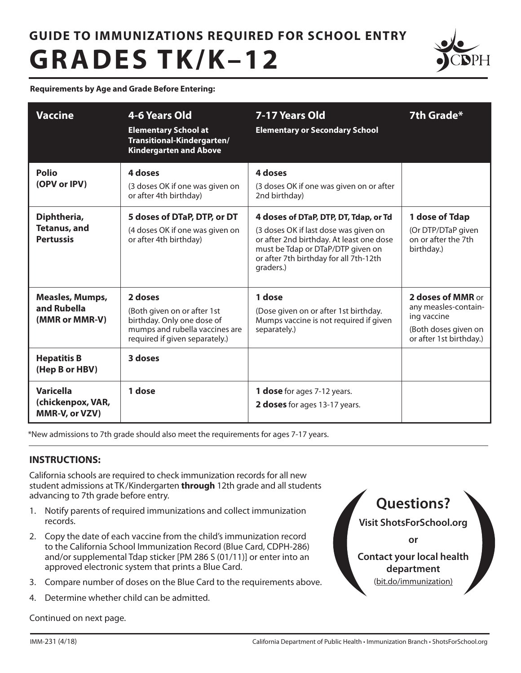# **GUIDE TO IMMUNIZATIONS REQUIRED FOR SCHOOL ENTRY GRADES TK/K–12**



**Requirements by Age and Grade Before Entering:**

| <b>Vaccine</b>                                                                | 4-6 Years Old<br><b>Elementary School at</b><br>Transitional-Kindergarten/<br><b>Kindergarten and Above</b>                                         | 7-17 Years Old<br><b>Elementary or Secondary School</b>                                                                                                                                                                | 7th Grade*                                                                                                  |
|-------------------------------------------------------------------------------|-----------------------------------------------------------------------------------------------------------------------------------------------------|------------------------------------------------------------------------------------------------------------------------------------------------------------------------------------------------------------------------|-------------------------------------------------------------------------------------------------------------|
| Polio<br>(OPV or IPV)                                                         | 4 doses<br>(3 doses OK if one was given on<br>or after 4th birthday)                                                                                | 4 doses<br>(3 doses OK if one was given on or after<br>2nd birthday)                                                                                                                                                   |                                                                                                             |
| Diphtheria,<br><b>Tetanus, and</b><br><b>Pertussis</b>                        | 5 doses of DTaP, DTP, or DT<br>(4 doses OK if one was given on<br>or after 4th birthday)                                                            | 4 doses of DTaP, DTP, DT, Tdap, or Td<br>(3 doses OK if last dose was given on<br>or after 2nd birthday. At least one dose<br>must be Tdap or DTaP/DTP given on<br>or after 7th birthday for all 7th-12th<br>graders.) | 1 dose of Tdap<br>(Or DTP/DTaP given<br>on or after the 7th<br>birthday.)                                   |
| <b>Measles, Mumps,</b><br>and Rubella<br>(MMR or MMR-V)<br><b>Hepatitis B</b> | 2 doses<br>(Both given on or after 1st<br>birthday. Only one dose of<br>mumps and rubella vaccines are<br>required if given separately.)<br>3 doses | 1 dose<br>(Dose given on or after 1st birthday.<br>Mumps vaccine is not required if given<br>separately.)                                                                                                              | 2 doses of MMR or<br>any measles-contain-<br>ing vaccine<br>(Both doses given on<br>or after 1st birthday.) |
| (Hep B or HBV)<br><b>Varicella</b><br>(chickenpox, VAR,<br>MMR-V, or VZV)     | 1 dose                                                                                                                                              | 1 dose for ages 7-12 years.<br>2 doses for ages 13-17 years.                                                                                                                                                           |                                                                                                             |

\*New admissions to 7th grade should also meet the requirements for ages 7-17 years.

## **INSTRUCTIONS:**

California schools are required to check immunization records for all new student admissions at TK /Kindergarten **through** 12th grade and all students advancing to 7th grade before entry.

- 1. Notify parents of required immunizations and collect immunization records.
- 2. Copy the date of each vaccine from the child's immunization record to the California School Immunization Record (Blue Card, CDPH-286) and/or supplemental Tdap sticker [PM 286 S (01/11)] or enter into an approved electronic system that prints a Blue Card.
- 3. Compare number of doses on the Blue Card to the requirements above.
- 4. Determine whether child can be admitted.

Continued on next page.